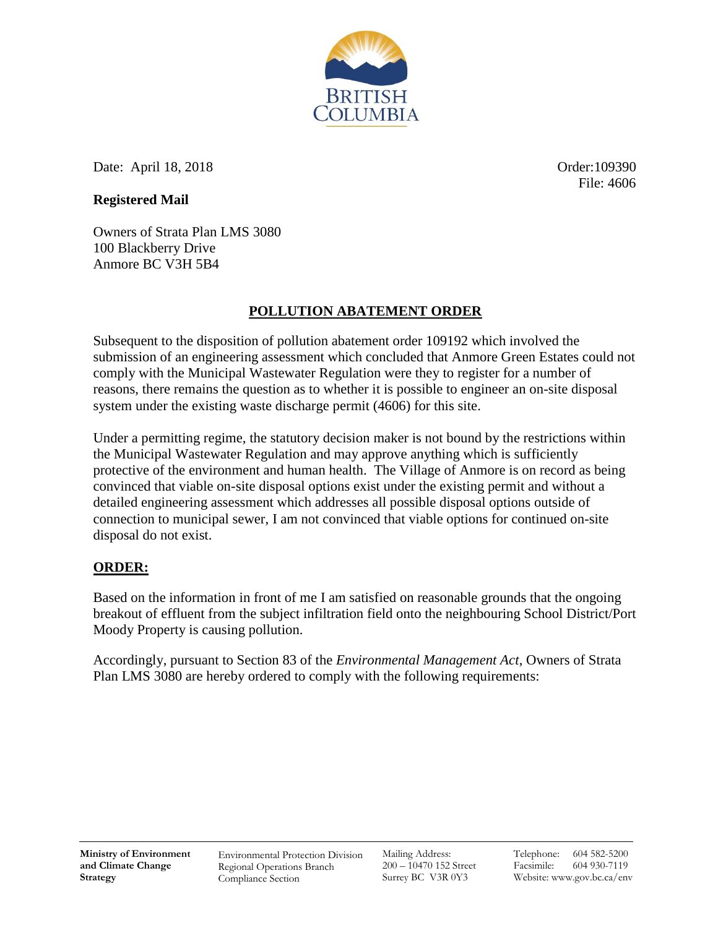

Date: April 18, 2018 **Order**:109390

File: 4606

## **Registered Mail**

Owners of Strata Plan LMS 3080 100 Blackberry Drive Anmore BC V3H 5B4

## **POLLUTION ABATEMENT ORDER**

Subsequent to the disposition of pollution abatement order 109192 which involved the submission of an engineering assessment which concluded that Anmore Green Estates could not comply with the Municipal Wastewater Regulation were they to register for a number of reasons, there remains the question as to whether it is possible to engineer an on-site disposal system under the existing waste discharge permit (4606) for this site.

Under a permitting regime, the statutory decision maker is not bound by the restrictions within the Municipal Wastewater Regulation and may approve anything which is sufficiently protective of the environment and human health. The Village of Anmore is on record as being convinced that viable on-site disposal options exist under the existing permit and without a detailed engineering assessment which addresses all possible disposal options outside of connection to municipal sewer, I am not convinced that viable options for continued on-site disposal do not exist.

## **ORDER:**

Based on the information in front of me I am satisfied on reasonable grounds that the ongoing breakout of effluent from the subject infiltration field onto the neighbouring School District/Port Moody Property is causing pollution.

Accordingly, pursuant to Section 83 of the *Environmental Management Act*, Owners of Strata Plan LMS 3080 are hereby ordered to comply with the following requirements:

Environmental Protection Division Regional Operations Branch Compliance Section

Mailing Address: 200 – 10470 152 Street Surrey BC V3R 0Y3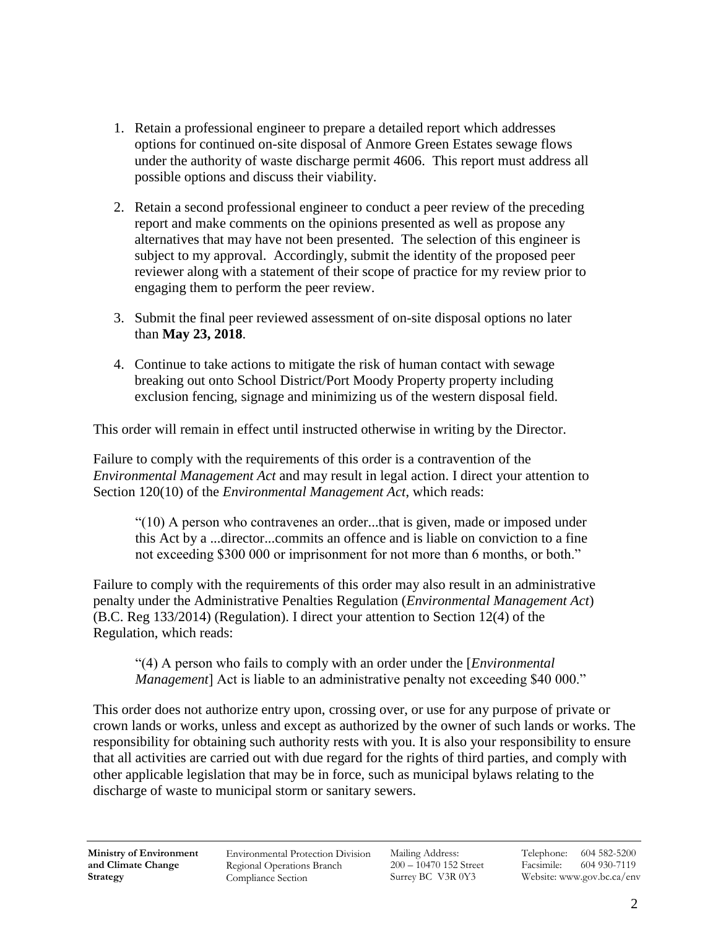- 1. Retain a professional engineer to prepare a detailed report which addresses options for continued on-site disposal of Anmore Green Estates sewage flows under the authority of waste discharge permit 4606. This report must address all possible options and discuss their viability.
- 2. Retain a second professional engineer to conduct a peer review of the preceding report and make comments on the opinions presented as well as propose any alternatives that may have not been presented. The selection of this engineer is subject to my approval. Accordingly, submit the identity of the proposed peer reviewer along with a statement of their scope of practice for my review prior to engaging them to perform the peer review.
- 3. Submit the final peer reviewed assessment of on-site disposal options no later than **May 23, 2018**.
- 4. Continue to take actions to mitigate the risk of human contact with sewage breaking out onto School District/Port Moody Property property including exclusion fencing, signage and minimizing us of the western disposal field.

This order will remain in effect until instructed otherwise in writing by the Director.

Failure to comply with the requirements of this order is a contravention of the *Environmental Management Act* and may result in legal action. I direct your attention to Section 120(10) of the *Environmental Management Act*, which reads:

"(10) A person who contravenes an order...that is given, made or imposed under this Act by a ...director...commits an offence and is liable on conviction to a fine not exceeding \$300 000 or imprisonment for not more than 6 months, or both."

Failure to comply with the requirements of this order may also result in an administrative penalty under the Administrative Penalties Regulation (*Environmental Management Act*) (B.C. Reg 133/2014) (Regulation). I direct your attention to Section 12(4) of the Regulation, which reads:

"(4) A person who fails to comply with an order under the [*Environmental Management*] Act is liable to an administrative penalty not exceeding \$40 000."

This order does not authorize entry upon, crossing over, or use for any purpose of private or crown lands or works, unless and except as authorized by the owner of such lands or works. The responsibility for obtaining such authority rests with you. It is also your responsibility to ensure that all activities are carried out with due regard for the rights of third parties, and comply with other applicable legislation that may be in force, such as municipal bylaws relating to the discharge of waste to municipal storm or sanitary sewers.

Environmental Protection Division Regional Operations Branch Compliance Section

Mailing Address: 200 – 10470 152 Street Surrey BC V3R 0Y3

Telephone: 604 582-5200 Facsimile: 604 930-7119 Website: www.gov.bc.ca/env